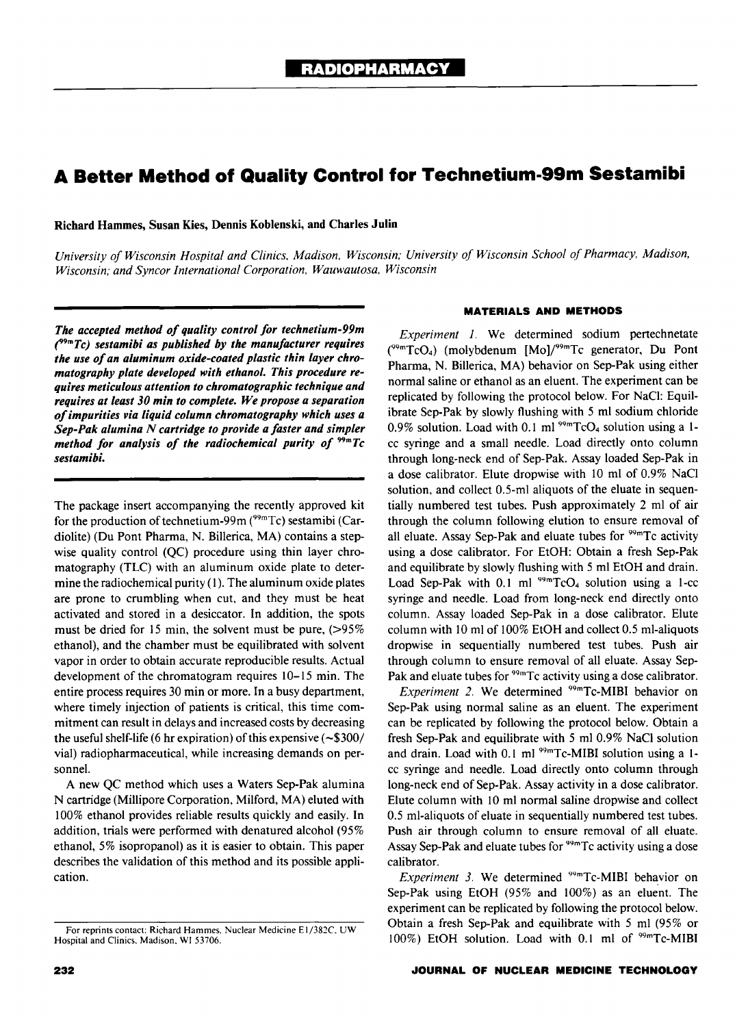# **A Better Method of Quality Control for Technetium-99m Sestamibi**

Richard Hammes, Susan Kies, Dennis Koblenski, and Charles Julin

*University of Wisconsin Hospital and Clinics. Madison. Wisconsin; University of Wisconsin School of Pharmacy, Madison, Wisconsin; and Syncor International Corporation. Wauwautosa. Wisconsin* 

*The accepted method of quality control for technetium-99m*  (1<sup>9</sup>*mTc) sestamibi as published by the manufacturer requires the use of an aluminum oxide-coated plastic thin layer chromatography plate developed with ethanol. This procedure requires meticulous attention to chromatographic technique and requires at least 30 min to complete. We propose a separation of impurities via liquid column chromatography which uses a Sep-Pak alumina N cartridge to provide a faster and simpler method for analysis of the radiochemical purity of 99mTc sestamibi.* 

The package insert accompanying the recently approved kit for the production of technetium-99m (<sup>99m</sup>Tc) sestamibi (Cardiolite) (Du Pont Pharma, N. Billerica, MA) contains a stepwise quality control (QC) procedure using thin layer chromatography (TLC} with an aluminum oxide plate to determine the radiochemical purity (I). The aluminum oxide plates are prone to crumbling when cut, and they must be heat activated and stored in a desiccator. In addition, the spots must be dried for 15 min, the solvent must be pure,  $(>\!\!95\%)$ ethanol), and the chamber must be equilibrated with solvent vapor in order to obtain accurate reproducible results. Actual development of the chromatogram requires 10-15 min. The entire process requires 30 min or more. In a busy department, where timely injection of patients is critical, this time commitment can result in delays and increased costs by decreasing the useful shelf-life (6 hr expiration) of this expensive  $(-\$300/$ vial) radiopharmaceutical, while increasing demands on personnel.

A new QC method which uses a Waters Sep-Pak alumina N cartridge (Millipore Corporation, Milford, MA) eluted with 100% ethanol provides reliable results quickly and easily. In addition, trials were performed with denatured alcohol (95% ethanol, 5% isopropanol) as it is easier to obtain. This paper describes the validation of this method and its possible application.

## **MATERIALS AND METHODS**

*Experiment 1.* We determined sodium pertechnetate  $(^{99m}TcO<sub>4</sub>)$  (molybdenum [Mo]/ $^{99m}Tc$  generator, Du Pont Pharma, N. Billerica, MA) behavior on Sep-Pak using either normal saline or ethanol as an eluent. The experiment can be replicated by following the protocol below. For NaCI: Equilibrate Sep-Pak by slowly flushing with 5 ml sodium chloride 0.9% solution. Load with 0.1 ml  $99mTcO<sub>4</sub>$  solution using a 1cc syringe and a small needle. Load directly onto column through long-neck end of Sep-Pak. Assay loaded Sep-Pak in a dose calibrator. Elute dropwise with 10 ml of 0.9% NaCI solution, and collect 0.5-ml aliquots of the eluate in sequentially numbered test tubes. Push approximately 2 ml of air through the column following elution to ensure removal of all eluate. Assay Sep-Pak and eluate tubes for  $99m$ Tc activity using a dose calibrator. For EtOH: Obtain a fresh Sep-Pak and equilibrate by slowly flushing with 5 ml EtOH and drain. Load Sep-Pak with  $0.1$  ml  $99mTcO<sub>4</sub>$  solution using a 1-cc syringe and needle. Load from long-neck end directly onto column. Assay loaded Sep-Pak in a dose calibrator. Elute column with 10 ml of 100% EtOH and collect 0.5 ml-aliquots dropwise in sequentially numbered test tubes. Push air through column to ensure removal of all eluate. Assay Sep-Pak and eluate tubes for <sup>99m</sup>Tc activity using a dose calibrator.

*Experiment 2.* We determined <sup>99m</sup>Tc-MIBI behavior on Sep-Pak using normal saline as an eluent. The experiment can be replicated by following the protocol below. Obtain a fresh Sep-Pak and equilibrate with 5 ml 0.9% NaCI solution and drain. Load with 0.1 ml <sup>99m</sup>Tc-MIBI solution using a 1cc syringe and needle. Load directly onto column through long-neck end of Sep-Pak. Assay activity in a dose calibrator. Elute column with 10 ml normal saline dropwise and collect 0.5 ml-aliquots of eluate in sequentially numbered test tubes. Push air through column to ensure removal of all eluate. Assay Sep-Pak and eluate tubes for <sup>99m</sup>Tc activity using a dose calibrator.

*Experiment 3.* We determined <sup>99m</sup>Tc-MIBI behavior on Sep-Pak using EtOH (95% and 100%) as an eluent. The experiment can be replicated by following the protocol below. Obtain a fresh Sep-Pak and equilibrate with 5 ml (95% or 100%) EtOH solution. Load with 0.1 ml of <sup>99m</sup>Tc-MIBI

For reprints contact: Richard Hammes. Nuclear Medicine E I/382C. UW Hospital and Clinics. Madison. WI 53706.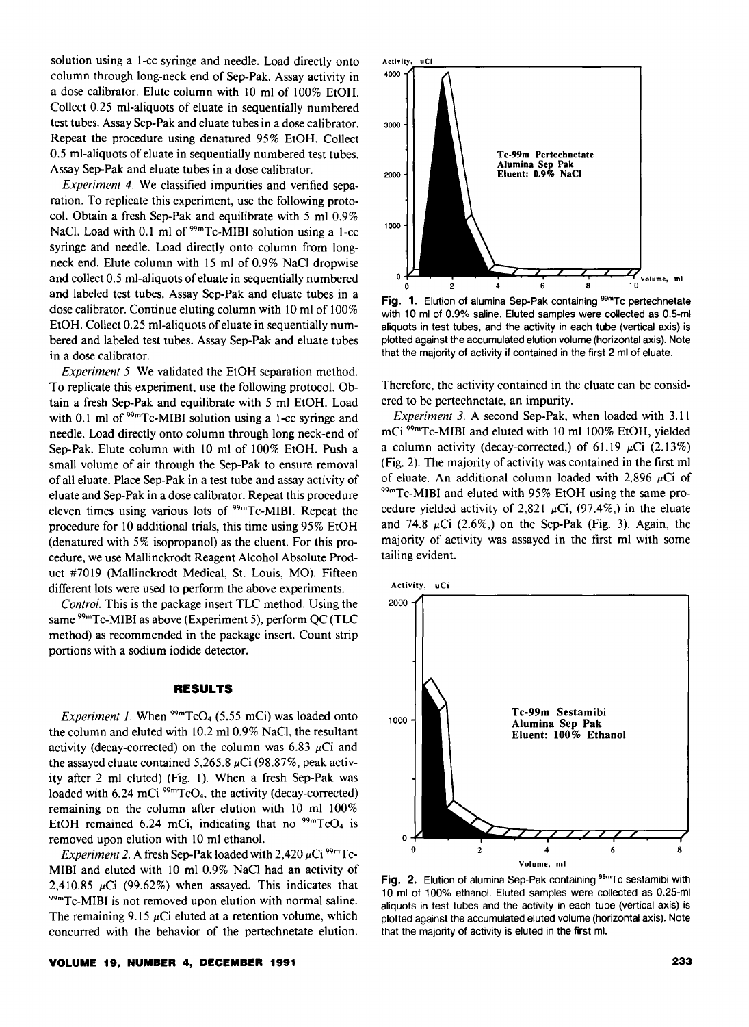solution using a I-cc syringe and needle. Load directly onto column through long-neck end of Sep-Pak. Assay activity in a dose calibrator. Elute column with 10 ml of 100% EtOH. Collect 0.25 ml-aliquots of eluate in sequentially numbered test tubes. Assay Sep-Pak and eluate tubes in a dose calibrator. Repeat the procedure using denatured 95% EtOH. Collect 0.5 ml-aliquots of eluate in sequentially numbered test tubes. Assay Sep-Pak and eluate tubes in a dose calibrator.

*Experiment 4.* We classified impurities and verified separation. To replicate this experiment, use the following protocol. Obtain a fresh Sep-Pak and equilibrate with 5 ml 0.9% NaCl. Load with 0.1 ml of  $99m$ Tc-MIBI solution using a 1-cc syringe and needle. Load directly onto column from longneck end. Elute column with 15 ml of 0.9% NaCl dropwise and collect 0.5 ml-aliquots of eluate in sequentially numbered and labeled test tubes. Assay Sep-Pak and eluate tubes in a dose calibrator. Continue eluting column with 10 ml of 100% EtOH. Collect 0.25 ml-aliquots of eluate in sequentially numbered and labeled test tubes. Assay Sep-Pak and eluate tubes in a dose calibrator.

*Experiment 5.* We validated the EtOH separation method. To replicate this experiment, use the following protocol. Obtain a fresh Sep-Pak and equilibrate with 5 ml EtOH. Load with 0.1 ml of  $99m$ Tc-MIBI solution using a 1-cc syringe and needle. Load directly onto column through long neck-end of Sep-Pak. Elute column with 10 ml of 100% EtOH. Push a small volume of air through the Sep-Pak to ensure removal of all eluate. Place Sep-Pak in a test tube and assay activity of eluate and Sep-Pak in a dose calibrator. Repeat this procedure eleven times using various lots of  $99mTc-MIBI$ . Repeat the procedure for 10 additional trials, this time using 95% EtOH (denatured with 5% isopropanol) as the eluent. For this procedure, we use Mallinckrodt Reagent Alcohol Absolute Product #7019 (Mallinckrodt Medical, St. Louis, MO). Fifteen different lots were used to perform the above experiments.

*Control.* This is the package insert TLC method. Using the same <sup>99m</sup>Tc-MIBI as above (Experiment 5), perform QC (TLC method) as recommended in the package insert. Count strip portions with a sodium iodide detector.

### **RESULTS**

*Experiment 1.* When  $^{99m}TcO<sub>4</sub>$  (5.55 mCi) was loaded onto the column and eluted with 10.2 ml 0.9% NaCI, the resultant activity (decay-corrected) on the column was 6.83  $\mu$ Ci and the assayed eluate contained 5,265.8  $\mu$ Ci (98.87%, peak activity after 2 ml eluted) (Fig. I). When a fresh Sep-Pak was loaded with  $6.24$  mCi<sup>99m</sup>TcO<sub>4</sub>, the activity (decay-corrected) remaining on the column after elution with 10 ml 100% EtOH remained 6.24 mCi, indicating that no  $^{99m}TcO<sub>4</sub>$  is removed upon elution with 10 ml ethanol.

*Experiment 2.* A fresh Sep-Pak loaded with  $2,420 \mu\text{Ci}^{99m}\text{Tc}$ -MIBI and eluted with 10 ml 0.9% NaCl had an activity of 2,410.85  $\mu$ Ci (99.62%) when assayed. This indicates that <sup>99m</sup>Tc-MIBI is not removed upon elution with normal saline. The remaining 9.15  $\mu$ Ci eluted at a retention volume, which concurred with the behavior of the pertechnetate elution.



Fig. 1. Elution of alumina Sep-Pak containing <sup>99m</sup>Tc pertechnetate with 10 ml of 0.9% saline. Eluted samples were collected as 0.5-ml aliquots in test tubes, and the activity in each tube (vertical axis) is plotted against the accumulated elution volume (horizontal axis). Note that the majority of activity if contained in the first 2 ml of eluate.

Therefore, the activity contained in the eluate can be considered to be pertechnetate, an impurity.

*Experiment 3.* A second Sep-Pak, when loaded with 3.11 mCi 99mTc-MIBI and eluted with 10 ml 100% EtOH, yielded a column activity (decay-corrected,) of 61.19  $\mu$ Ci (2.13%) (Fig. 2). The majority of activity was contained in the first ml of eluate. An additional column loaded with 2,896  $\mu$ Ci of <sup>99m</sup>Tc-MIBI and eluted with 95% EtOH using the same procedure yielded activity of 2,821  $\mu$ Ci, (97.4%,) in the eluate and 74.8  $\mu$ Ci (2.6%) on the Sep-Pak (Fig. 3). Again, the majority of activity was assayed in the first ml with some tailing evident.



Fig. 2. Elution of alumina Sep-Pak containing <sup>99m</sup>Tc sestamibi with 10 ml of 100% ethanol. Eluted samples were collected as 0.25-ml aliquots in test tubes and the activity in each tube (vertical axis) is plotted against the accumulated eluted volume (horizontal axis). Note that the majority of activity is eluted in the first mi.

#### **VOLUME 19, NUMBER 4, DECEMBER 1991**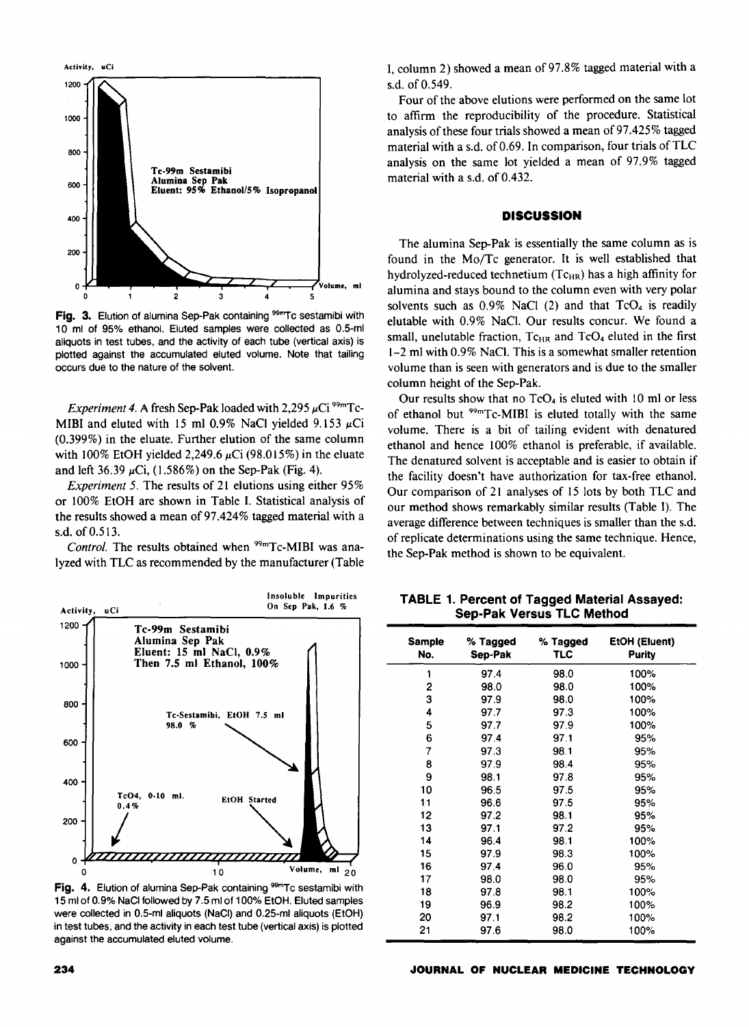

Fig. 3. Elution of alumina Sep-Pak containing <sup>99m</sup>Tc sestamibi with 10 ml of 95% ethanol. Eluted samples were collected as 0.5-ml aliquots in test tubes, and the activity of each tube (vertical axis) is plotted against the accumulated eluted volume. Note that tailing occurs due to the nature of the solvent.

*Experiment 4.* A fresh Sep-Pak loaded with  $2,295 \mu\text{Ci}^{99m}\text{Tc}$ -MIBI and eluted with 15 ml 0.9% NaCl yielded 9.153  $\mu$ Ci (0.399%) in the eluate. Further elution of the same column with 100% EtOH yielded 2,249.6  $\mu$ Ci (98.015%) in the eluate and left 36.39  $\mu$ Ci, (1.586%) on the Sep-Pak (Fig. 4).

*Experiment 5.* The results of 21 elutions using either 95% or 100% EtOH are shown in Table I. Statistical analysis of the results showed a mean of97.424% tagged material with a s.d. of 0.513.

*Control.* The results obtained when <sup>99m</sup>Tc-MIBI was analyzed with TLC as recommended by the manufacturer (Table



Fig. 4. Elution of alumina Sep-Pak containing 99mTc sestamibi with 15 ml of 0.9% NaCI followed by 7.5 ml of 100% EtOH. Eluted samples were collected in 0.5-ml aliquots (NaCI) and 0.25-ml aliquots (EtOH) in test tubes, and the activity in each test tube (vertical axis) is plotted against the accumulated eluted volume.

I, column 2) showed a mean of 97.8% tagged material with a s.d. of 0.549.

Four of the above elutions were performed on the same lot to affirm the reproducibility of the procedure. Statistical analysis of these four trials showed a mean of 97.425% tagged material with a s.d. of 0.69. In comparison, four trials of TLC analysis on the same lot yielded a mean of 97.9% tagged material with a s.d. of 0.432.

# **DISCUSSION**

The alumina Sep-Pak is essentially the same column as is found in the Mo/Tc generator. It is well established that hydrolyzed-reduced technetium  $(Tc_{HR})$  has a high affinity for alumina and stays bound to the column even with very polar solvents such as  $0.9\%$  NaCl (2) and that  $TcO<sub>4</sub>$  is readily elutable with 0.9% NaCI. Our results concur. We found a small, unelutable fraction,  $T_{\text{CHR}}$  and  $T_{\text{c}}O_4$  eluted in the first  $1-2$  ml with 0.9% NaCl. This is a somewhat smaller retention volume than is seen with generators and is due to the smaller column height of the Sep-Pak.

Our results show that no  $TcO<sub>4</sub>$  is eluted with 10 ml or less of ethanol but  $99mTc-MIBI$  is eluted totally with the same volume. There is a bit of tailing evident with denatured ethanol and hence 100% ethanol is preferable, if available. The denatured solvent is acceptable and is easier to obtain if the facility doesn't have authorization for tax-free ethanol. Our comparison of 21 analyses of 15 lots by both TLC and our method shows remarkably similar results (Table 1). The average difference between techniques is smaller than the s.d. of replicate determinations using the same technique. Hence, the Sep-Pak method is shown to be equivalent.

TABLE 1. Percent of Tagged Material Assayed: Sep-Pak Versus TLC Method

| <b>Sample</b><br>No. | % Tagged<br>Sep-Pak | % Tagged<br>TLC | EtOH (Eluent)<br>Purity |
|----------------------|---------------------|-----------------|-------------------------|
| 1                    | 97.4                | 98.0            | 100%                    |
| 2                    | 98.0                | 98.0            | 100%                    |
| 3                    | 97.9                | 98.0            | 100%                    |
| 4                    | 97.7                | 97.3            | 100%                    |
| 5                    | 97.7                | 97.9            | 100%                    |
| 6                    | 97.4                | 97.1            | 95%                     |
| 7                    | 97.3                | 98.1            | 95%                     |
| 8                    | 97.9                | 98.4            | 95%                     |
| 9                    | 98.1                | 97.8            | 95%                     |
| 10                   | 96.5                | 97.5            | 95%                     |
| 11                   | 96.6                | 97.5            | 95%                     |
| 12                   | 97.2                | 98.1            | 95%                     |
| 13                   | 97.1                | 97.2            | 95%                     |
| 14                   | 96.4                | 98.1            | 100%                    |
| 15                   | 97.9                | 98.3            | 100%                    |
| 16                   | 97.4                | 96.0            | 95%                     |
| 17                   | 98.0                | 98.0            | 95%                     |
| 18                   | 97.8                | 98.1            | 100%                    |
| 19                   | 96.9                | 98.2            | 100%                    |
| 20                   | 97.1                | 98.2            | 100%                    |
| 21                   | 97.6                | 98.0            | 100%                    |